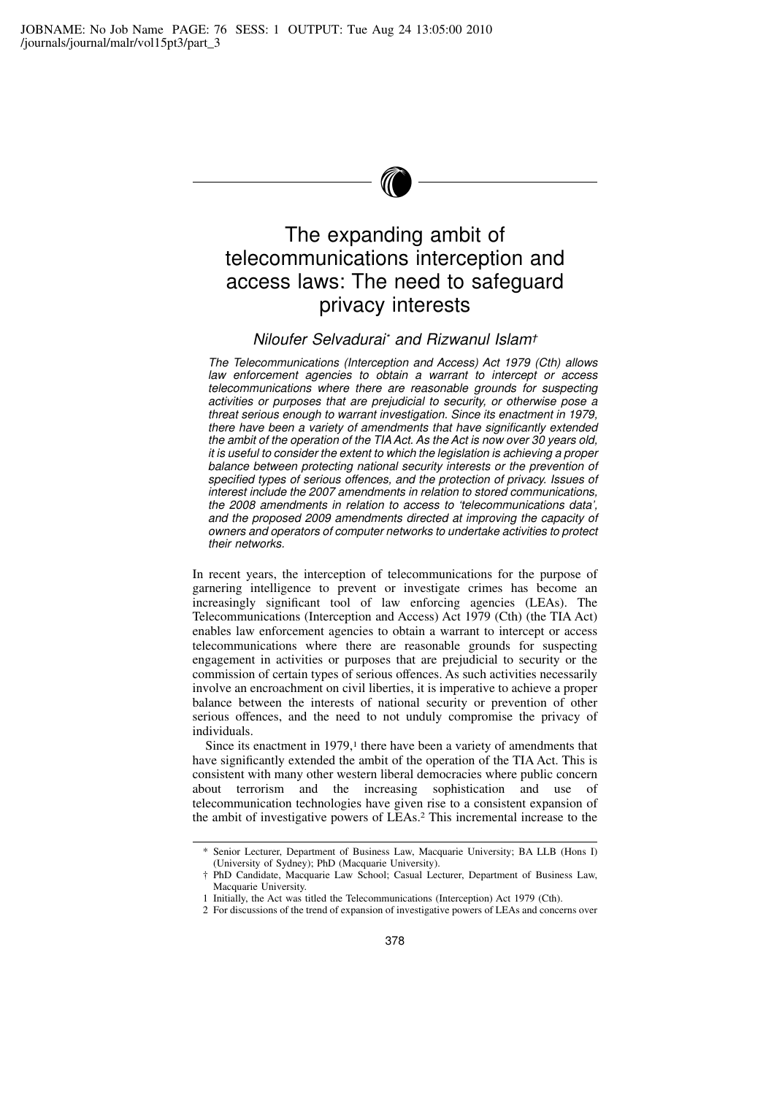# The expanding ambit of telecommunications interception and access laws: The need to safeguard privacy interests

# Niloufer Selvadurai\* and Rizwanul Islam†

The Telecommunications (Interception and Access) Act 1979 (Cth) allows law enforcement agencies to obtain a warrant to intercept or access telecommunications where there are reasonable grounds for suspecting activities or purposes that are prejudicial to security, or otherwise pose a threat serious enough to warrant investigation. Since its enactment in 1979, there have been a variety of amendments that have significantly extended the ambit of the operation of the TIA Act. As the Act is now over 30 years old, it is useful to consider the extent to which the legislation is achieving a proper balance between protecting national security interests or the prevention of specified types of serious offences, and the protection of privacy. Issues of interest include the 2007 amendments in relation to stored communications, the 2008 amendments in relation to access to 'telecommunications data', and the proposed 2009 amendments directed at improving the capacity of owners and operators of computer networks to undertake activities to protect their networks.

In recent years, the interception of telecommunications for the purpose of garnering intelligence to prevent or investigate crimes has become an increasingly significant tool of law enforcing agencies (LEAs). The Telecommunications (Interception and Access) Act 1979 (Cth) (the TIA Act) enables law enforcement agencies to obtain a warrant to intercept or access telecommunications where there are reasonable grounds for suspecting engagement in activities or purposes that are prejudicial to security or the commission of certain types of serious offences. As such activities necessarily involve an encroachment on civil liberties, it is imperative to achieve a proper balance between the interests of national security or prevention of other serious offences, and the need to not unduly compromise the privacy of individuals.

Since its enactment in 1979,<sup>1</sup> there have been a variety of amendments that have significantly extended the ambit of the operation of the TIA Act. This is consistent with many other western liberal democracies where public concern about terrorism and the increasing sophistication and use of telecommunication technologies have given rise to a consistent expansion of the ambit of investigative powers of LEAs.<sup>2</sup> This incremental increase to the

<sup>\*</sup> Senior Lecturer, Department of Business Law, Macquarie University; BA LLB (Hons I) (University of Sydney); PhD (Macquarie University).

<sup>†</sup> PhD Candidate, Macquarie Law School; Casual Lecturer, Department of Business Law, Macquarie University.

<sup>1</sup> Initially, the Act was titled the Telecommunications (Interception) Act 1979 (Cth).

<sup>2</sup> For discussions of the trend of expansion of investigative powers of LEAs and concerns over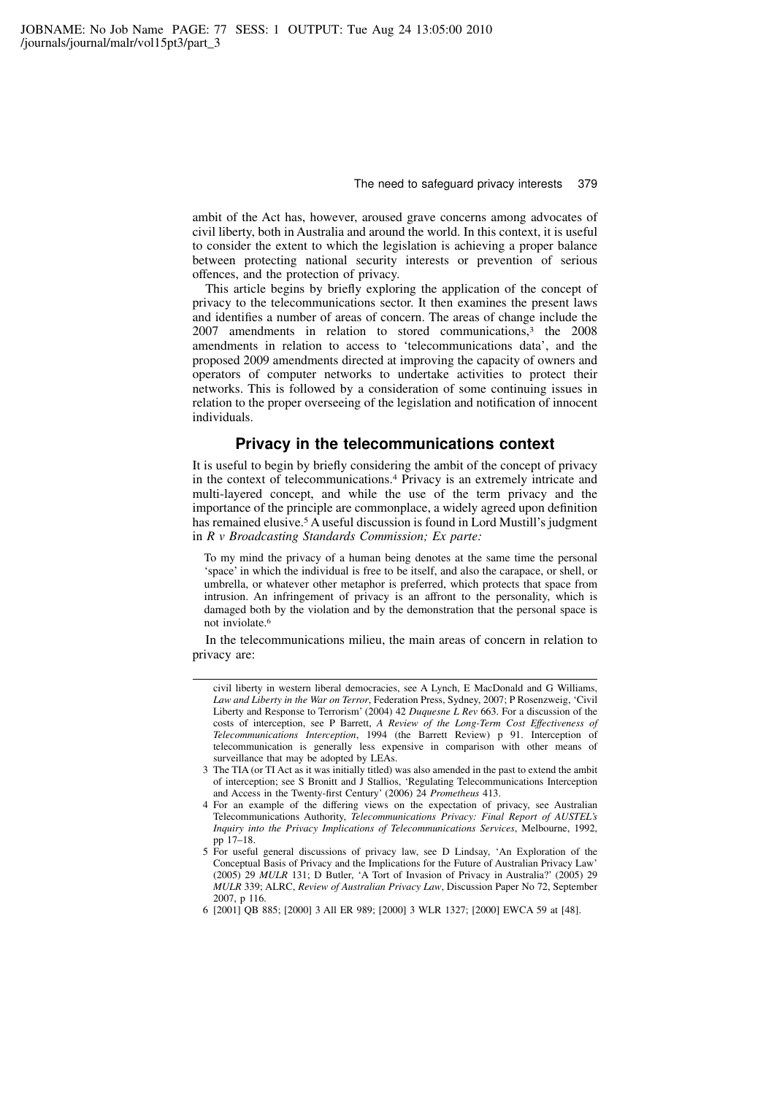ambit of the Act has, however, aroused grave concerns among advocates of civil liberty, both in Australia and around the world. In this context, it is useful to consider the extent to which the legislation is achieving a proper balance between protecting national security interests or prevention of serious offences, and the protection of privacy.

This article begins by briefly exploring the application of the concept of privacy to the telecommunications sector. It then examines the present laws and identifies a number of areas of concern. The areas of change include the 2007 amendments in relation to stored communications,<sup>3</sup> the 2008 amendments in relation to access to 'telecommunications data', and the proposed 2009 amendments directed at improving the capacity of owners and operators of computer networks to undertake activities to protect their networks. This is followed by a consideration of some continuing issues in relation to the proper overseeing of the legislation and notification of innocent individuals.

### Privacy in the telecommunications context

It is useful to begin by briefly considering the ambit of the concept of privacy in the context of telecommunications.<sup>4</sup> Privacy is an extremely intricate and multi-layered concept, and while the use of the term privacy and the importance of the principle are commonplace, a widely agreed upon definition has remained elusive.<sup>5</sup> A useful discussion is found in Lord Mustill's judgment in R v Broadcasting Standards Commission; Ex parte:

To my mind the privacy of a human being denotes at the same time the personal 'space' in which the individual is free to be itself, and also the carapace, or shell, or umbrella, or whatever other metaphor is preferred, which protects that space from intrusion. An infringement of privacy is an affront to the personality, which is damaged both by the violation and by the demonstration that the personal space is not inviolate.<sup>6</sup>

In the telecommunications milieu, the main areas of concern in relation to privacy are:

- 3 The TIA (or TI Act as it was initially titled) was also amended in the past to extend the ambit of interception; see S Bronitt and J Stallios, 'Regulating Telecommunications Interception and Access in the Twenty-first Century' (2006) 24 Prometheus 413.
- 4 For an example of the differing views on the expectation of privacy, see Australian Telecommunications Authority, Telecommunications Privacy: Final Report of AUSTEL's Inquiry into the Privacy Implications of Telecommunications Services, Melbourne, 1992, pp 17–18.
- 5 For useful general discussions of privacy law, see D Lindsay, 'An Exploration of the Conceptual Basis of Privacy and the Implications for the Future of Australian Privacy Law' (2005) 29 MULR 131; D Butler, 'A Tort of Invasion of Privacy in Australia?' (2005) 29 MULR 339; ALRC, Review of Australian Privacy Law, Discussion Paper No 72, September 2007, p 116.
- 6 [2001] QB 885; [2000] 3 All ER 989; [2000] 3 WLR 1327; [2000] EWCA 59 at [48].

civil liberty in western liberal democracies, see A Lynch, E MacDonald and G Williams, Law and Liberty in the War on Terror, Federation Press, Sydney, 2007; P Rosenzweig, 'Civil Liberty and Response to Terrorism' (2004) 42 Duquesne L Rev 663. For a discussion of the costs of interception, see P Barrett, A Review of the Long-Term Cost Effectiveness of Telecommunications Interception, 1994 (the Barrett Review) p 91. Interception of telecommunication is generally less expensive in comparison with other means of surveillance that may be adopted by LEAs.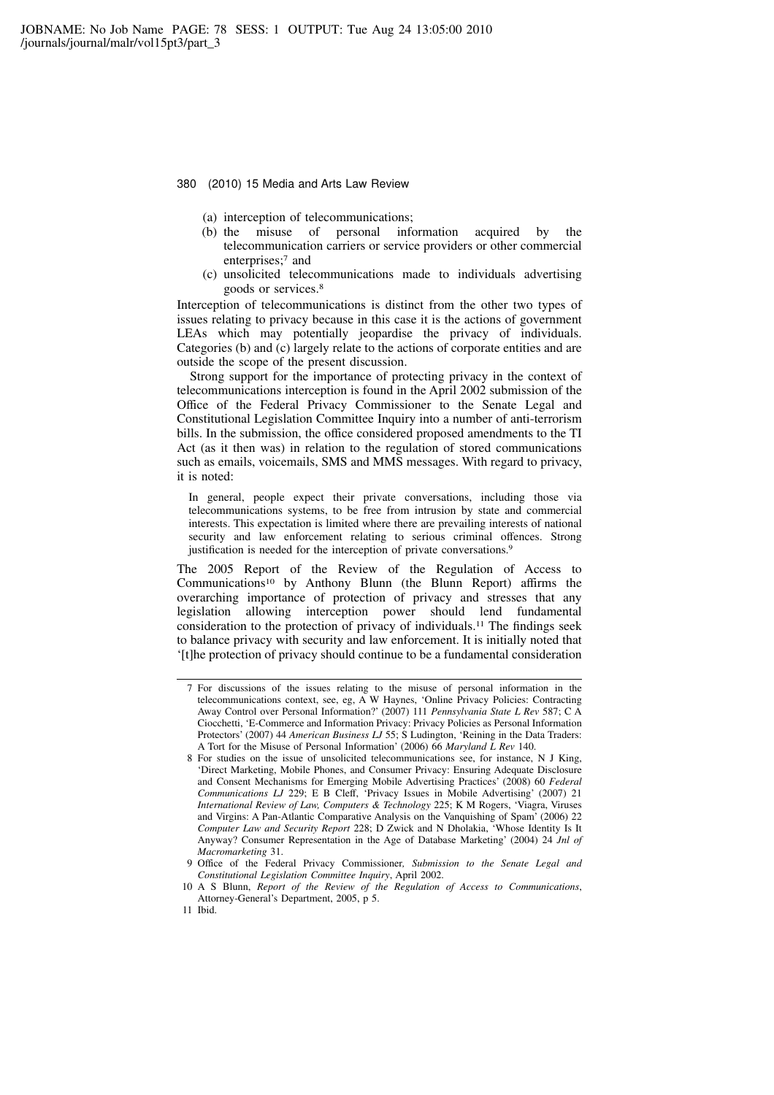- (a) interception of telecommunications;
- (b) the misuse of personal information acquired by the telecommunication carriers or service providers or other commercial enterprises;<sup>7</sup> and
- (c) unsolicited telecommunications made to individuals advertising goods or services.<sup>8</sup>

Interception of telecommunications is distinct from the other two types of issues relating to privacy because in this case it is the actions of government LEAs which may potentially jeopardise the privacy of individuals. Categories (b) and (c) largely relate to the actions of corporate entities and are outside the scope of the present discussion.

Strong support for the importance of protecting privacy in the context of telecommunications interception is found in the April 2002 submission of the Office of the Federal Privacy Commissioner to the Senate Legal and Constitutional Legislation Committee Inquiry into a number of anti-terrorism bills. In the submission, the office considered proposed amendments to the TI Act (as it then was) in relation to the regulation of stored communications such as emails, voicemails, SMS and MMS messages. With regard to privacy, it is noted:

In general, people expect their private conversations, including those via telecommunications systems, to be free from intrusion by state and commercial interests. This expectation is limited where there are prevailing interests of national security and law enforcement relating to serious criminal offences. Strong justification is needed for the interception of private conversations.<sup>9</sup>

The 2005 Report of the Review of the Regulation of Access to Communications<sup>10</sup> by Anthony Blunn (the Blunn Report) affirms the overarching importance of protection of privacy and stresses that any legislation allowing interception power should lend fundamental consideration to the protection of privacy of individuals.<sup>11</sup> The findings seek to balance privacy with security and law enforcement. It is initially noted that '[t]he protection of privacy should continue to be a fundamental consideration

<sup>7</sup> For discussions of the issues relating to the misuse of personal information in the telecommunications context, see, eg, A W Haynes, 'Online Privacy Policies: Contracting Away Control over Personal Information?' (2007) 111 Pennsylvania State L Rev 587; C A Ciocchetti, 'E-Commerce and Information Privacy: Privacy Policies as Personal Information Protectors' (2007) 44 American Business LJ 55; S Ludington, 'Reining in the Data Traders: A Tort for the Misuse of Personal Information' (2006) 66 Maryland L Rev 140.

<sup>8</sup> For studies on the issue of unsolicited telecommunications see, for instance, N J King, 'Direct Marketing, Mobile Phones, and Consumer Privacy: Ensuring Adequate Disclosure and Consent Mechanisms for Emerging Mobile Advertising Practices' (2008) 60 Federal Communications LJ 229; E B Cleff, 'Privacy Issues in Mobile Advertising' (2007) 21 International Review of Law, Computers & Technology 225; K M Rogers, 'Viagra, Viruses and Virgins: A Pan-Atlantic Comparative Analysis on the Vanquishing of Spam' (2006) 22 Computer Law and Security Report 228; D Zwick and N Dholakia, 'Whose Identity Is It Anyway? Consumer Representation in the Age of Database Marketing' (2004) 24 Jnl of Macromarketing 31.

<sup>9</sup> Office of the Federal Privacy Commissioner, Submission to the Senate Legal and Constitutional Legislation Committee Inquiry, April 2002.

<sup>10</sup> A S Blunn, Report of the Review of the Regulation of Access to Communications, Attorney-General's Department, 2005, p 5.

<sup>11</sup> Ibid.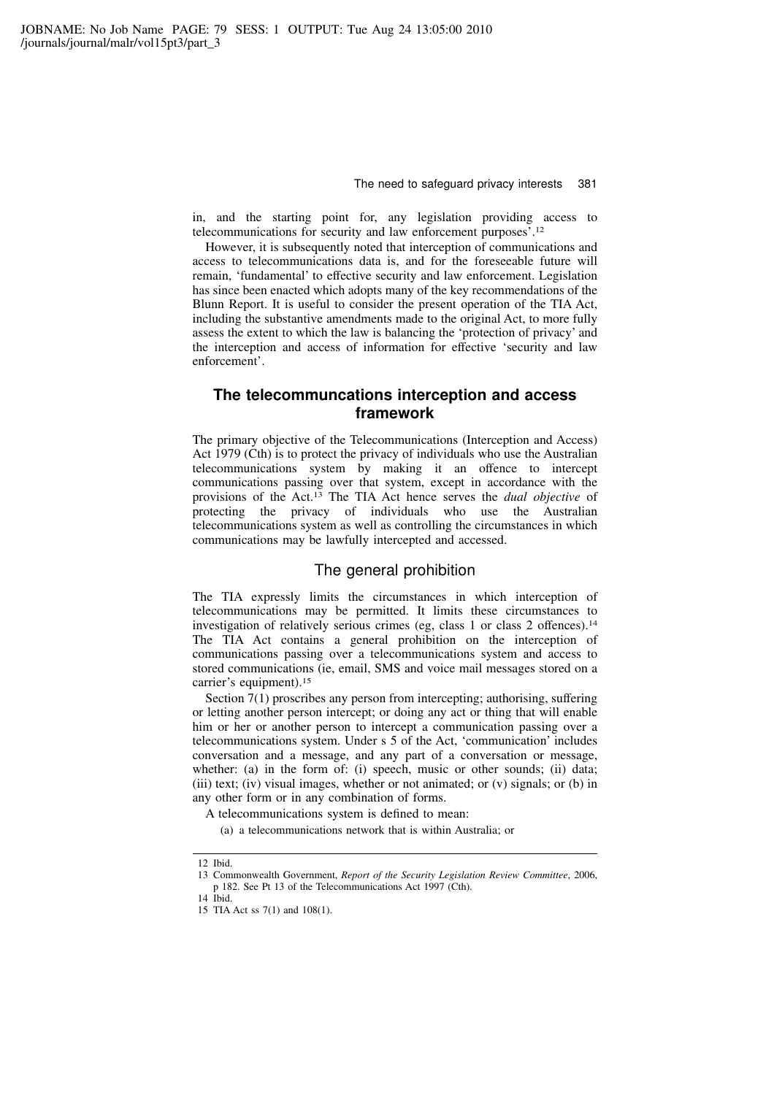in, and the starting point for, any legislation providing access to telecommunications for security and law enforcement purposes'.<sup>12</sup>

However, it is subsequently noted that interception of communications and access to telecommunications data is, and for the foreseeable future will remain, 'fundamental' to effective security and law enforcement. Legislation has since been enacted which adopts many of the key recommendations of the Blunn Report. It is useful to consider the present operation of the TIA Act, including the substantive amendments made to the original Act, to more fully assess the extent to which the law is balancing the 'protection of privacy' and the interception and access of information for effective 'security and law enforcement'.

# The telecommuncations interception and access framework

The primary objective of the Telecommunications (Interception and Access) Act 1979 (Cth) is to protect the privacy of individuals who use the Australian telecommunications system by making it an offence to intercept communications passing over that system, except in accordance with the provisions of the Act.<sup>13</sup> The TIA Act hence serves the dual objective of protecting the privacy of individuals who use the Australian telecommunications system as well as controlling the circumstances in which communications may be lawfully intercepted and accessed.

# The general prohibition

The TIA expressly limits the circumstances in which interception of telecommunications may be permitted. It limits these circumstances to investigation of relatively serious crimes (eg, class 1 or class 2 offences).<sup>14</sup> The TIA Act contains a general prohibition on the interception of communications passing over a telecommunications system and access to stored communications (ie, email, SMS and voice mail messages stored on a carrier's equipment).<sup>15</sup>

Section 7(1) proscribes any person from intercepting; authorising, suffering or letting another person intercept; or doing any act or thing that will enable him or her or another person to intercept a communication passing over a telecommunications system. Under s 5 of the Act, 'communication' includes conversation and a message, and any part of a conversation or message, whether: (a) in the form of: (i) speech, music or other sounds; (ii) data; (iii) text; (iv) visual images, whether or not animated; or (v) signals; or (b) in any other form or in any combination of forms.

A telecommunications system is defined to mean:

(a) a telecommunications network that is within Australia; or

<sup>12</sup> Ibid.

<sup>13</sup> Commonwealth Government, Report of the Security Legislation Review Committee, 2006, p 182. See Pt 13 of the Telecommunications Act 1997 (Cth).

<sup>14</sup> Ibid.

<sup>15</sup> TIA Act ss 7(1) and 108(1).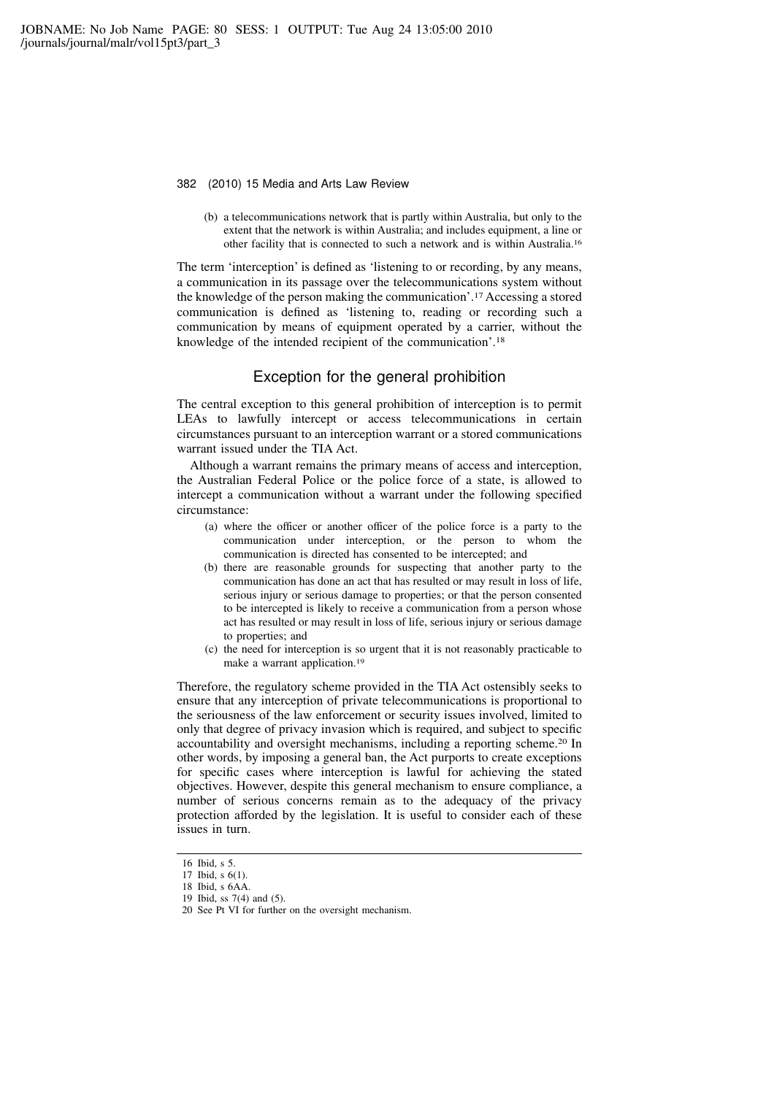(b) a telecommunications network that is partly within Australia, but only to the extent that the network is within Australia; and includes equipment, a line or other facility that is connected to such a network and is within Australia.<sup>16</sup>

The term 'interception' is defined as 'listening to or recording, by any means, a communication in its passage over the telecommunications system without the knowledge of the person making the communication'.<sup>17</sup> Accessing a stored communication is defined as 'listening to, reading or recording such a communication by means of equipment operated by a carrier, without the knowledge of the intended recipient of the communication'.<sup>18</sup>

# Exception for the general prohibition

The central exception to this general prohibition of interception is to permit LEAs to lawfully intercept or access telecommunications in certain circumstances pursuant to an interception warrant or a stored communications warrant issued under the TIA Act.

Although a warrant remains the primary means of access and interception, the Australian Federal Police or the police force of a state, is allowed to intercept a communication without a warrant under the following specified circumstance:

- (a) where the officer or another officer of the police force is a party to the communication under interception, or the person to whom the communication is directed has consented to be intercepted; and
- (b) there are reasonable grounds for suspecting that another party to the communication has done an act that has resulted or may result in loss of life, serious injury or serious damage to properties; or that the person consented to be intercepted is likely to receive a communication from a person whose act has resulted or may result in loss of life, serious injury or serious damage to properties; and
- (c) the need for interception is so urgent that it is not reasonably practicable to make a warrant application.<sup>19</sup>

Therefore, the regulatory scheme provided in the TIA Act ostensibly seeks to ensure that any interception of private telecommunications is proportional to the seriousness of the law enforcement or security issues involved, limited to only that degree of privacy invasion which is required, and subject to specific accountability and oversight mechanisms, including a reporting scheme.<sup>20</sup> In other words, by imposing a general ban, the Act purports to create exceptions for specific cases where interception is lawful for achieving the stated objectives. However, despite this general mechanism to ensure compliance, a number of serious concerns remain as to the adequacy of the privacy protection afforded by the legislation. It is useful to consider each of these issues in turn.

<sup>16</sup> Ibid, s 5.

<sup>17</sup> Ibid, s  $6(1)$ .

<sup>18</sup> Ibid, s 6AA.

<sup>19</sup> Ibid, ss 7(4) and (5).

<sup>20</sup> See Pt VI for further on the oversight mechanism.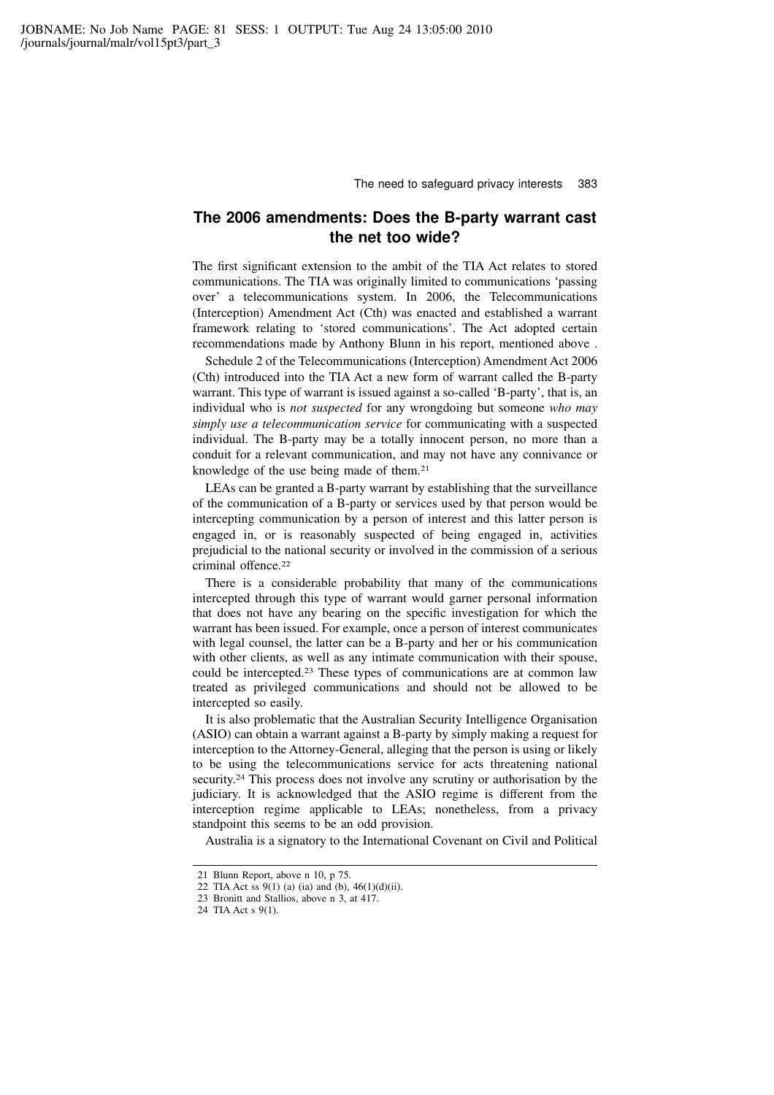# The 2006 amendments: Does the B-party warrant cast the net too wide?

The first significant extension to the ambit of the TIA Act relates to stored communications. The TIA was originally limited to communications 'passing over' a telecommunications system. In 2006, the Telecommunications (Interception) Amendment Act (Cth) was enacted and established a warrant framework relating to 'stored communications'. The Act adopted certain recommendations made by Anthony Blunn in his report, mentioned above .

Schedule 2 of the Telecommunications (Interception) Amendment Act 2006 (Cth) introduced into the TIA Act a new form of warrant called the B-party warrant. This type of warrant is issued against a so-called 'B-party', that is, an individual who is *not suspected* for any wrongdoing but someone who may simply use a telecommunication service for communicating with a suspected individual. The B-party may be a totally innocent person, no more than a conduit for a relevant communication, and may not have any connivance or knowledge of the use being made of them.<sup>21</sup>

LEAs can be granted a B-party warrant by establishing that the surveillance of the communication of a B-party or services used by that person would be intercepting communication by a person of interest and this latter person is engaged in, or is reasonably suspected of being engaged in, activities prejudicial to the national security or involved in the commission of a serious criminal offence.<sup>22</sup>

There is a considerable probability that many of the communications intercepted through this type of warrant would garner personal information that does not have any bearing on the specific investigation for which the warrant has been issued. For example, once a person of interest communicates with legal counsel, the latter can be a B-party and her or his communication with other clients, as well as any intimate communication with their spouse, could be intercepted.<sup>23</sup> These types of communications are at common law treated as privileged communications and should not be allowed to be intercepted so easily.

It is also problematic that the Australian Security Intelligence Organisation (ASIO) can obtain a warrant against a B-party by simply making a request for interception to the Attorney-General, alleging that the person is using or likely to be using the telecommunications service for acts threatening national security.<sup>24</sup> This process does not involve any scrutiny or authorisation by the judiciary. It is acknowledged that the ASIO regime is different from the interception regime applicable to LEAs; nonetheless, from a privacy standpoint this seems to be an odd provision.

Australia is a signatory to the International Covenant on Civil and Political

<sup>21</sup> Blunn Report, above n 10, p 75.

<sup>22</sup> TIA Act ss  $9(1)$  (a) (ia) and (b),  $46(1)(d)(ii)$ .

<sup>23</sup> Bronitt and Stallios, above n 3, at 417.

<sup>24</sup> TIA Act s 9(1).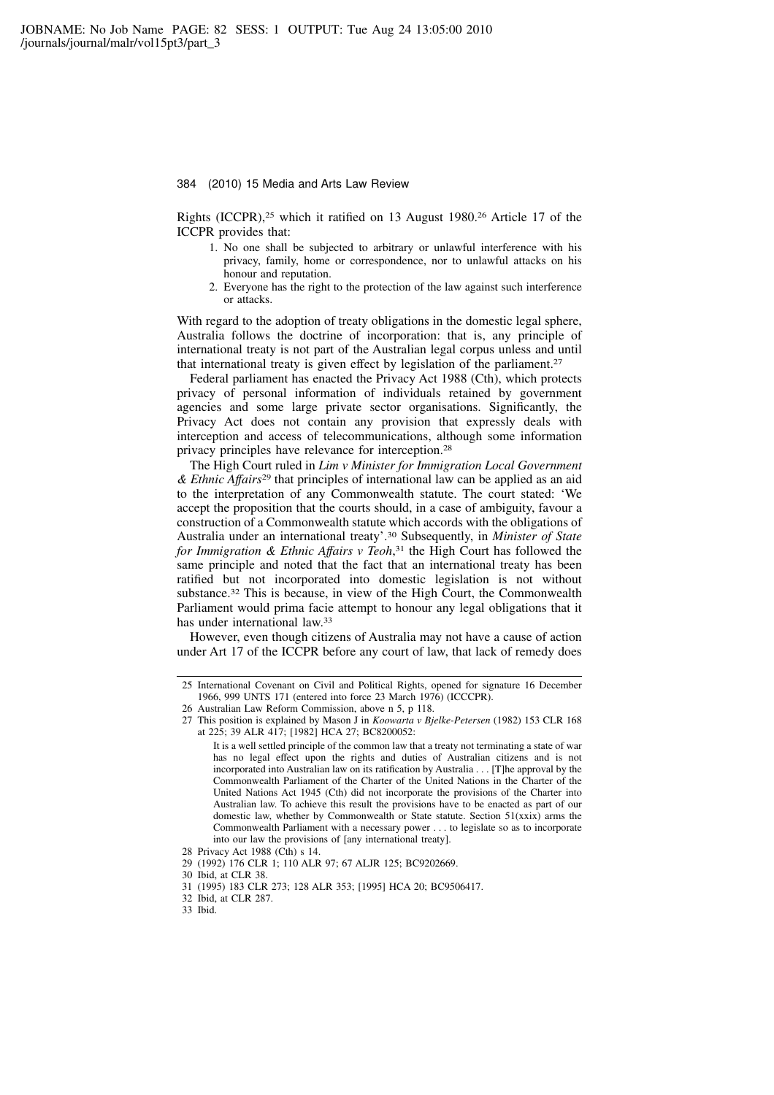Rights (ICCPR),<sup>25</sup> which it ratified on 13 August 1980.<sup>26</sup> Article 17 of the ICCPR provides that:

- 1. No one shall be subjected to arbitrary or unlawful interference with his privacy, family, home or correspondence, nor to unlawful attacks on his honour and reputation.
- 2. Everyone has the right to the protection of the law against such interference or attacks.

With regard to the adoption of treaty obligations in the domestic legal sphere, Australia follows the doctrine of incorporation: that is, any principle of international treaty is not part of the Australian legal corpus unless and until that international treaty is given effect by legislation of the parliament.<sup>27</sup>

Federal parliament has enacted the Privacy Act 1988 (Cth), which protects privacy of personal information of individuals retained by government agencies and some large private sector organisations. Significantly, the Privacy Act does not contain any provision that expressly deals with interception and access of telecommunications, although some information privacy principles have relevance for interception.<sup>28</sup>

The High Court ruled in Lim v Minister for Immigration Local Government  $\&$  Ethnic Affairs<sup>29</sup> that principles of international law can be applied as an aid to the interpretation of any Commonwealth statute. The court stated: 'We accept the proposition that the courts should, in a case of ambiguity, favour a construction of a Commonwealth statute which accords with the obligations of Australia under an international treaty'.<sup>30</sup> Subsequently, in Minister of State for Immigration & Ethnic Affairs v Teoh,<sup>31</sup> the High Court has followed the same principle and noted that the fact that an international treaty has been ratified but not incorporated into domestic legislation is not without substance.<sup>32</sup> This is because, in view of the High Court, the Commonwealth Parliament would prima facie attempt to honour any legal obligations that it has under international law.<sup>33</sup>

However, even though citizens of Australia may not have a cause of action under Art 17 of the ICCPR before any court of law, that lack of remedy does

30 Ibid, at CLR 38.

<sup>25</sup> International Covenant on Civil and Political Rights, opened for signature 16 December 1966, 999 UNTS 171 (entered into force 23 March 1976) (ICCCPR).

<sup>26</sup> Australian Law Reform Commission, above n 5, p 118.

<sup>27</sup> This position is explained by Mason J in Koowarta v Bjelke-Petersen (1982) 153 CLR 168 at 225; 39 ALR 417; [1982] HCA 27; BC8200052:

It is a well settled principle of the common law that a treaty not terminating a state of war has no legal effect upon the rights and duties of Australian citizens and is not incorporated into Australian law on its ratification by Australia . . . [T]he approval by the Commonwealth Parliament of the Charter of the United Nations in the Charter of the United Nations Act 1945 (Cth) did not incorporate the provisions of the Charter into Australian law. To achieve this result the provisions have to be enacted as part of our domestic law, whether by Commonwealth or State statute. Section 51(xxix) arms the Commonwealth Parliament with a necessary power . . . to legislate so as to incorporate into our law the provisions of [any international treaty].

<sup>28</sup> Privacy Act 1988 (Cth) s 14.

<sup>29 (1992) 176</sup> CLR 1; 110 ALR 97; 67 ALJR 125; BC9202669.

<sup>31 (1995) 183</sup> CLR 273; 128 ALR 353; [1995] HCA 20; BC9506417.

<sup>32</sup> Ibid, at CLR 287.

<sup>33</sup> Ibid.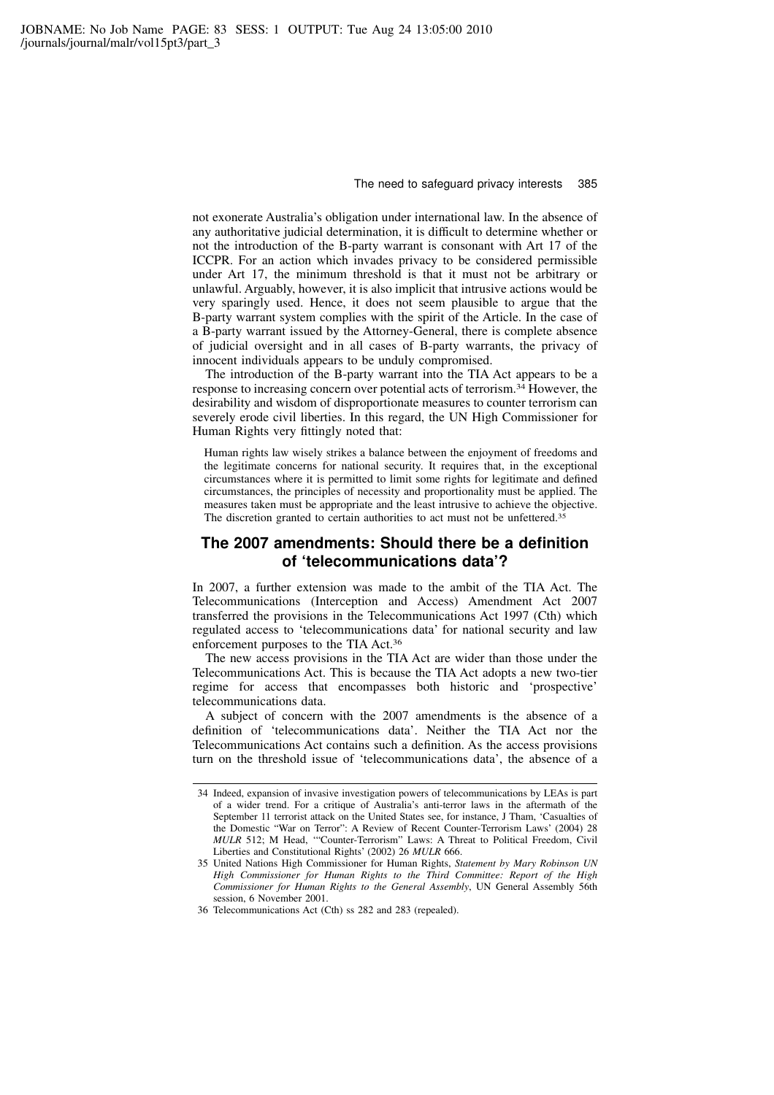not exonerate Australia's obligation under international law. In the absence of any authoritative judicial determination, it is difficult to determine whether or not the introduction of the B-party warrant is consonant with Art 17 of the ICCPR. For an action which invades privacy to be considered permissible under Art 17, the minimum threshold is that it must not be arbitrary or unlawful. Arguably, however, it is also implicit that intrusive actions would be very sparingly used. Hence, it does not seem plausible to argue that the B-party warrant system complies with the spirit of the Article. In the case of a B-party warrant issued by the Attorney-General, there is complete absence of judicial oversight and in all cases of B-party warrants, the privacy of innocent individuals appears to be unduly compromised.

The introduction of the B-party warrant into the TIA Act appears to be a response to increasing concern over potential acts of terrorism.<sup>34</sup> However, the desirability and wisdom of disproportionate measures to counter terrorism can severely erode civil liberties. In this regard, the UN High Commissioner for Human Rights very fittingly noted that:

Human rights law wisely strikes a balance between the enjoyment of freedoms and the legitimate concerns for national security. It requires that, in the exceptional circumstances where it is permitted to limit some rights for legitimate and defined circumstances, the principles of necessity and proportionality must be applied. The measures taken must be appropriate and the least intrusive to achieve the objective. The discretion granted to certain authorities to act must not be unfettered.<sup>35</sup>

# The 2007 amendments: Should there be a definition of 'telecommunications data'?

In 2007, a further extension was made to the ambit of the TIA Act. The Telecommunications (Interception and Access) Amendment Act 2007 transferred the provisions in the Telecommunications Act 1997 (Cth) which regulated access to 'telecommunications data' for national security and law enforcement purposes to the TIA Act.<sup>36</sup>

The new access provisions in the TIA Act are wider than those under the Telecommunications Act. This is because the TIA Act adopts a new two-tier regime for access that encompasses both historic and 'prospective' telecommunications data.

A subject of concern with the 2007 amendments is the absence of a definition of 'telecommunications data'. Neither the TIA Act nor the Telecommunications Act contains such a definition. As the access provisions turn on the threshold issue of 'telecommunications data', the absence of a

<sup>34</sup> Indeed, expansion of invasive investigation powers of telecommunications by LEAs is part of a wider trend. For a critique of Australia's anti-terror laws in the aftermath of the September 11 terrorist attack on the United States see, for instance, J Tham, 'Casualties of the Domestic "War on Terror": A Review of Recent Counter-Terrorism Laws' (2004) 28 MULR 512; M Head, '"Counter-Terrorism" Laws: A Threat to Political Freedom, Civil Liberties and Constitutional Rights' (2002) 26 MULR 666.

<sup>35</sup> United Nations High Commissioner for Human Rights, Statement by Mary Robinson UN High Commissioner for Human Rights to the Third Committee: Report of the High Commissioner for Human Rights to the General Assembly, UN General Assembly 56th session, 6 November 2001.

<sup>36</sup> Telecommunications Act (Cth) ss 282 and 283 (repealed).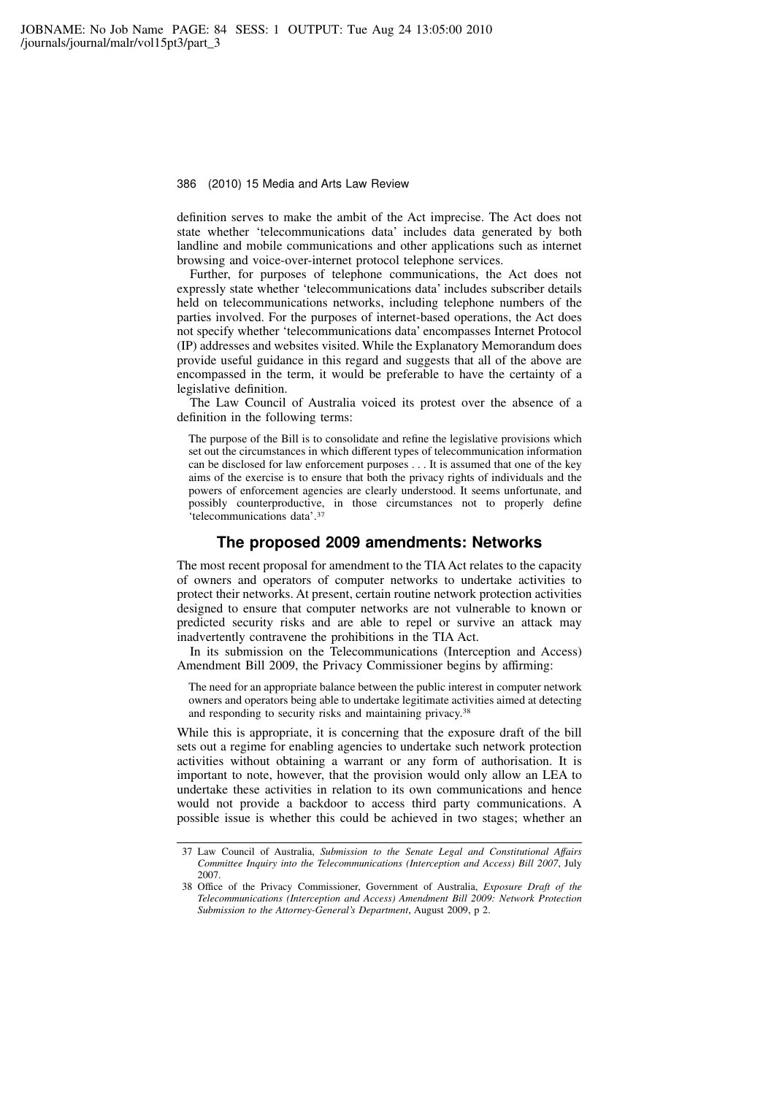definition serves to make the ambit of the Act imprecise. The Act does not state whether 'telecommunications data' includes data generated by both landline and mobile communications and other applications such as internet browsing and voice-over-internet protocol telephone services.

Further, for purposes of telephone communications, the Act does not expressly state whether 'telecommunications data' includes subscriber details held on telecommunications networks, including telephone numbers of the parties involved. For the purposes of internet-based operations, the Act does not specify whether 'telecommunications data' encompasses Internet Protocol (IP) addresses and websites visited. While the Explanatory Memorandum does provide useful guidance in this regard and suggests that all of the above are encompassed in the term, it would be preferable to have the certainty of a legislative definition.

The Law Council of Australia voiced its protest over the absence of a definition in the following terms:

The purpose of the Bill is to consolidate and refine the legislative provisions which set out the circumstances in which different types of telecommunication information can be disclosed for law enforcement purposes . . . It is assumed that one of the key aims of the exercise is to ensure that both the privacy rights of individuals and the powers of enforcement agencies are clearly understood. It seems unfortunate, and possibly counterproductive, in those circumstances not to properly define 'telecommunications data'.<sup>37</sup>

### The proposed 2009 amendments: Networks

The most recent proposal for amendment to the TIA Act relates to the capacity of owners and operators of computer networks to undertake activities to protect their networks. At present, certain routine network protection activities designed to ensure that computer networks are not vulnerable to known or predicted security risks and are able to repel or survive an attack may inadvertently contravene the prohibitions in the TIA Act.

In its submission on the Telecommunications (Interception and Access) Amendment Bill 2009, the Privacy Commissioner begins by affirming:

The need for an appropriate balance between the public interest in computer network owners and operators being able to undertake legitimate activities aimed at detecting and responding to security risks and maintaining privacy.<sup>38</sup>

While this is appropriate, it is concerning that the exposure draft of the bill sets out a regime for enabling agencies to undertake such network protection activities without obtaining a warrant or any form of authorisation. It is important to note, however, that the provision would only allow an LEA to undertake these activities in relation to its own communications and hence would not provide a backdoor to access third party communications. A possible issue is whether this could be achieved in two stages; whether an

<sup>37</sup> Law Council of Australia, Submission to the Senate Legal and Constitutional Affairs Committee Inquiry into the Telecommunications (Interception and Access) Bill 2007, July 2007.

<sup>38</sup> Office of the Privacy Commissioner, Government of Australia, Exposure Draft of the Telecommunications (Interception and Access) Amendment Bill 2009: Network Protection Submission to the Attorney-General's Department, August 2009, p 2.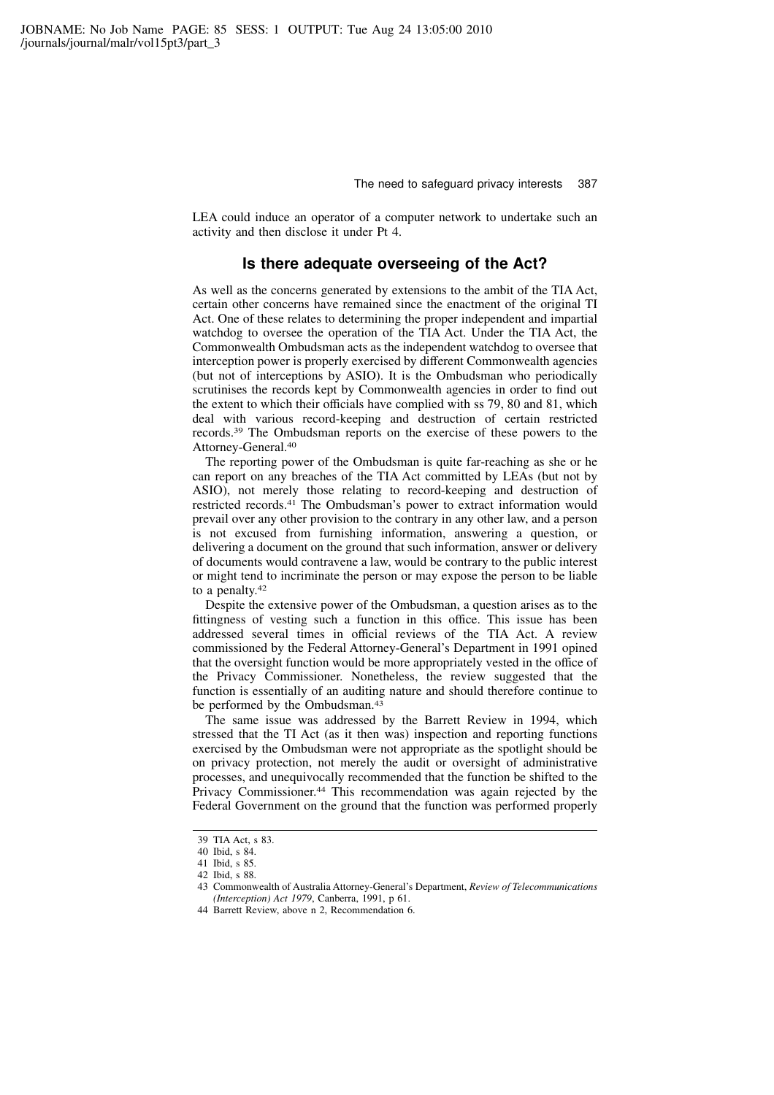LEA could induce an operator of a computer network to undertake such an activity and then disclose it under Pt 4.

### Is there adequate overseeing of the Act?

As well as the concerns generated by extensions to the ambit of the TIA Act, certain other concerns have remained since the enactment of the original TI Act. One of these relates to determining the proper independent and impartial watchdog to oversee the operation of the TIA Act. Under the TIA Act, the Commonwealth Ombudsman acts as the independent watchdog to oversee that interception power is properly exercised by different Commonwealth agencies (but not of interceptions by ASIO). It is the Ombudsman who periodically scrutinises the records kept by Commonwealth agencies in order to find out the extent to which their officials have complied with ss 79, 80 and 81, which deal with various record-keeping and destruction of certain restricted records.<sup>39</sup> The Ombudsman reports on the exercise of these powers to the Attorney-General.<sup>40</sup>

The reporting power of the Ombudsman is quite far-reaching as she or he can report on any breaches of the TIA Act committed by LEAs (but not by ASIO), not merely those relating to record-keeping and destruction of restricted records.<sup>41</sup> The Ombudsman's power to extract information would prevail over any other provision to the contrary in any other law, and a person is not excused from furnishing information, answering a question, or delivering a document on the ground that such information, answer or delivery of documents would contravene a law, would be contrary to the public interest or might tend to incriminate the person or may expose the person to be liable to a penalty.<sup>42</sup>

Despite the extensive power of the Ombudsman, a question arises as to the fittingness of vesting such a function in this office. This issue has been addressed several times in official reviews of the TIA Act. A review commissioned by the Federal Attorney-General's Department in 1991 opined that the oversight function would be more appropriately vested in the office of the Privacy Commissioner. Nonetheless, the review suggested that the function is essentially of an auditing nature and should therefore continue to be performed by the Ombudsman.<sup>43</sup>

The same issue was addressed by the Barrett Review in 1994, which stressed that the TI Act (as it then was) inspection and reporting functions exercised by the Ombudsman were not appropriate as the spotlight should be on privacy protection, not merely the audit or oversight of administrative processes, and unequivocally recommended that the function be shifted to the Privacy Commissioner.<sup>44</sup> This recommendation was again rejected by the Federal Government on the ground that the function was performed properly

<sup>39</sup> TIA Act, s 83.

<sup>40</sup> Ibid, s 84.

<sup>41</sup> Ibid, s 85.

<sup>42</sup> Ibid, s 88.

<sup>43</sup> Commonwealth of Australia Attorney-General's Department, Review of Telecommunications (Interception) Act 1979, Canberra, 1991, p 61.

<sup>44</sup> Barrett Review, above n 2, Recommendation 6.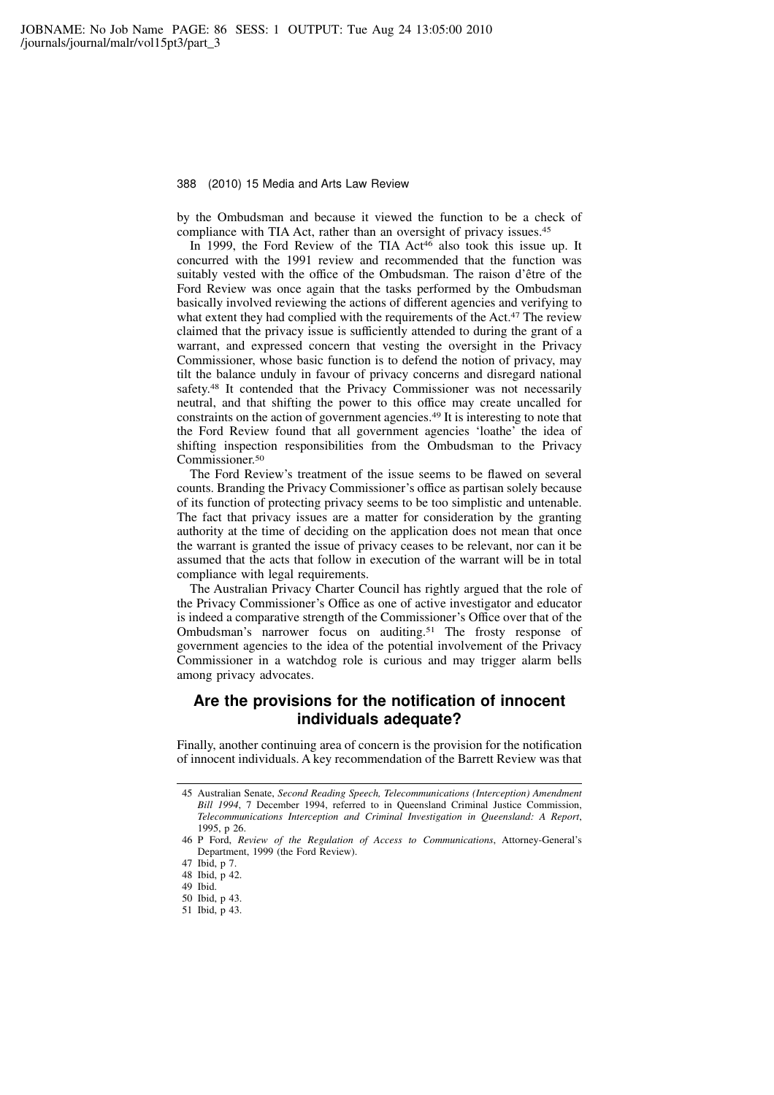by the Ombudsman and because it viewed the function to be a check of compliance with TIA Act, rather than an oversight of privacy issues.<sup>45</sup>

In 1999, the Ford Review of the TIA Act<sup>46</sup> also took this issue up. It concurred with the 1991 review and recommended that the function was suitably vested with the office of the Ombudsman. The raison d'être of the Ford Review was once again that the tasks performed by the Ombudsman basically involved reviewing the actions of different agencies and verifying to what extent they had complied with the requirements of the Act.<sup>47</sup> The review claimed that the privacy issue is sufficiently attended to during the grant of a warrant, and expressed concern that vesting the oversight in the Privacy Commissioner, whose basic function is to defend the notion of privacy, may tilt the balance unduly in favour of privacy concerns and disregard national safety.<sup>48</sup> It contended that the Privacy Commissioner was not necessarily neutral, and that shifting the power to this office may create uncalled for constraints on the action of government agencies.<sup>49</sup> It is interesting to note that the Ford Review found that all government agencies 'loathe' the idea of shifting inspection responsibilities from the Ombudsman to the Privacy Commissioner.<sup>50</sup>

The Ford Review's treatment of the issue seems to be flawed on several counts. Branding the Privacy Commissioner's office as partisan solely because of its function of protecting privacy seems to be too simplistic and untenable. The fact that privacy issues are a matter for consideration by the granting authority at the time of deciding on the application does not mean that once the warrant is granted the issue of privacy ceases to be relevant, nor can it be assumed that the acts that follow in execution of the warrant will be in total compliance with legal requirements.

The Australian Privacy Charter Council has rightly argued that the role of the Privacy Commissioner's Office as one of active investigator and educator is indeed a comparative strength of the Commissioner's Office over that of the Ombudsman's narrower focus on auditing.<sup>51</sup> The frosty response of government agencies to the idea of the potential involvement of the Privacy Commissioner in a watchdog role is curious and may trigger alarm bells among privacy advocates.

# Are the provisions for the notification of innocent individuals adequate?

Finally, another continuing area of concern is the provision for the notification of innocent individuals. A key recommendation of the Barrett Review was that

<sup>45</sup> Australian Senate, Second Reading Speech, Telecommunications (Interception) Amendment Bill 1994, 7 December 1994, referred to in Queensland Criminal Justice Commission, Telecommunications Interception and Criminal Investigation in Queensland: A Report, 1995, p 26.

<sup>46</sup> P Ford, Review of the Regulation of Access to Communications, Attorney-General's Department, 1999 (the Ford Review).

<sup>47</sup> Ibid, p 7.

<sup>48</sup> Ibid, p 42.

<sup>49</sup> Ibid.

<sup>50</sup> Ibid, p 43.

<sup>51</sup> Ibid, p 43.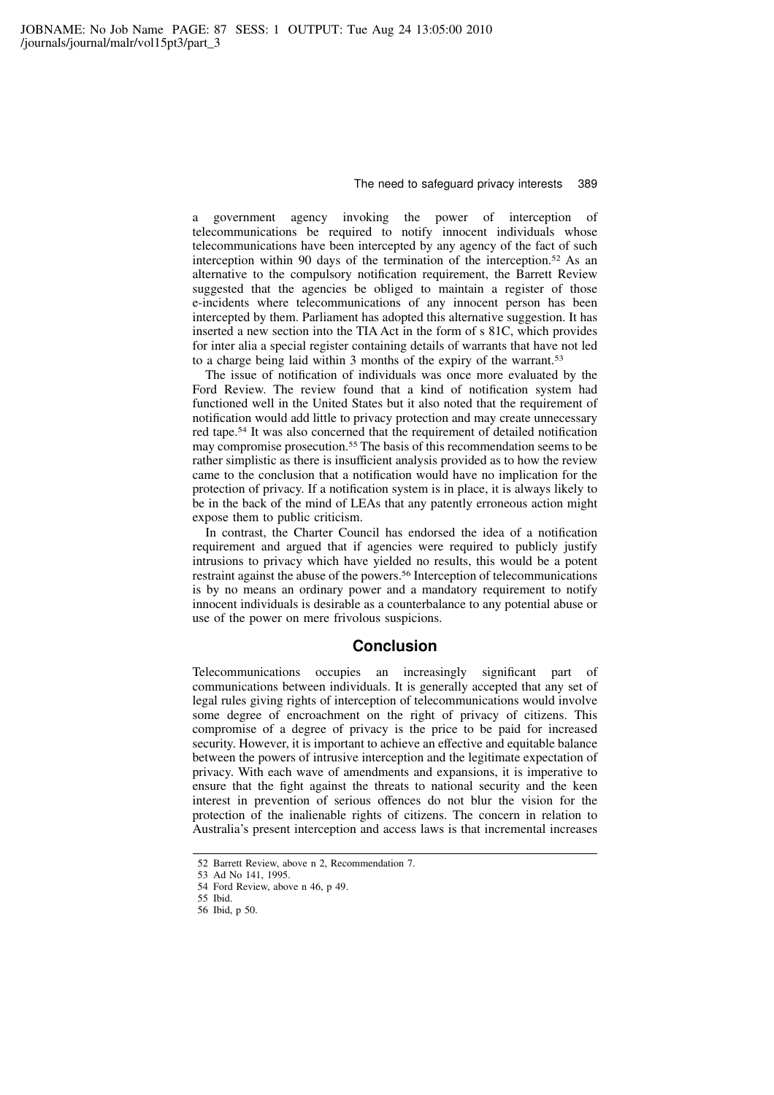a government agency invoking the power of interception of telecommunications be required to notify innocent individuals whose telecommunications have been intercepted by any agency of the fact of such interception within 90 days of the termination of the interception.<sup>52</sup> As an alternative to the compulsory notification requirement, the Barrett Review suggested that the agencies be obliged to maintain a register of those e-incidents where telecommunications of any innocent person has been intercepted by them. Parliament has adopted this alternative suggestion. It has inserted a new section into the TIA Act in the form of s 81C, which provides for inter alia a special register containing details of warrants that have not led to a charge being laid within 3 months of the expiry of the warrant.<sup>53</sup>

The issue of notification of individuals was once more evaluated by the Ford Review. The review found that a kind of notification system had functioned well in the United States but it also noted that the requirement of notification would add little to privacy protection and may create unnecessary red tape.<sup>54</sup> It was also concerned that the requirement of detailed notification may compromise prosecution.<sup>55</sup> The basis of this recommendation seems to be rather simplistic as there is insufficient analysis provided as to how the review came to the conclusion that a notification would have no implication for the protection of privacy. If a notification system is in place, it is always likely to be in the back of the mind of LEAs that any patently erroneous action might expose them to public criticism.

In contrast, the Charter Council has endorsed the idea of a notification requirement and argued that if agencies were required to publicly justify intrusions to privacy which have yielded no results, this would be a potent restraint against the abuse of the powers.<sup>56</sup> Interception of telecommunications is by no means an ordinary power and a mandatory requirement to notify innocent individuals is desirable as a counterbalance to any potential abuse or use of the power on mere frivolous suspicions.

### Conclusion

Telecommunications occupies an increasingly significant part of communications between individuals. It is generally accepted that any set of legal rules giving rights of interception of telecommunications would involve some degree of encroachment on the right of privacy of citizens. This compromise of a degree of privacy is the price to be paid for increased security. However, it is important to achieve an effective and equitable balance between the powers of intrusive interception and the legitimate expectation of privacy. With each wave of amendments and expansions, it is imperative to ensure that the fight against the threats to national security and the keen interest in prevention of serious offences do not blur the vision for the protection of the inalienable rights of citizens. The concern in relation to Australia's present interception and access laws is that incremental increases

<sup>52</sup> Barrett Review, above n 2, Recommendation 7.

<sup>53</sup> Ad No 141, 1995.

<sup>54</sup> Ford Review, above n 46, p 49.

<sup>55</sup> Ibid.

<sup>56</sup> Ibid, p 50.